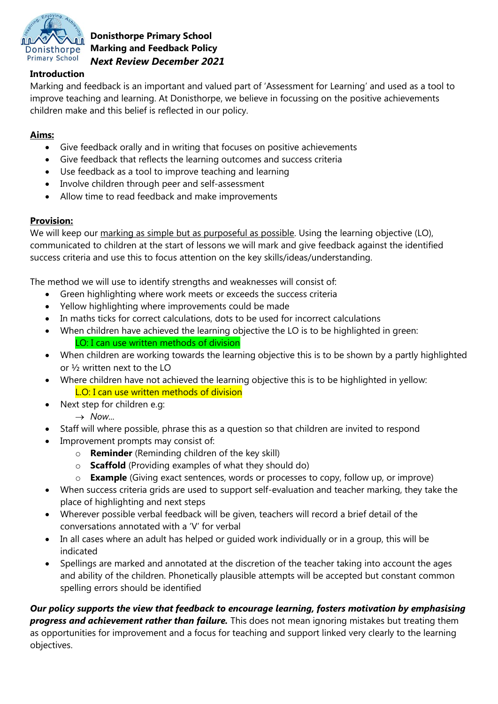

**Donisthorpe Primary School Marking and Feedback Policy** *Next Review December 2021*

### **Introduction**

Marking and feedback is an important and valued part of 'Assessment for Learning' and used as a tool to improve teaching and learning. At Donisthorpe, we believe in focussing on the positive achievements children make and this belief is reflected in our policy.

#### **Aims:**

- Give feedback orally and in writing that focuses on positive achievements
- Give feedback that reflects the learning outcomes and success criteria
- Use feedback as a tool to improve teaching and learning
- Involve children through peer and self-assessment
- Allow time to read feedback and make improvements

#### **Provision:**

We will keep our marking as simple but as purposeful as possible. Using the learning objective (LO), communicated to children at the start of lessons we will mark and give feedback against the identified success criteria and use this to focus attention on the key skills/ideas/understanding.

The method we will use to identify strengths and weaknesses will consist of:

- Green highlighting where work meets or exceeds the success criteria
- Yellow highlighting where improvements could be made
- In maths ticks for correct calculations, dots to be used for incorrect calculations
- When children have achieved the learning objective the LO is to be highlighted in green: LO: I can use written methods of division
- When children are working towards the learning objective this is to be shown by a partly highlighted or ½ written next to the LO
- Where children have not achieved the learning objective this is to be highlighted in yellow: L.O: I can use written methods of division
- Next step for children e.g:
	- $\rightarrow$  *Now...*
- Staff will where possible, phrase this as a question so that children are invited to respond
- Improvement prompts may consist of:
	- o **Reminder** (Reminding children of the key skill)
	- o **Scaffold** (Providing examples of what they should do)
	- o **Example** (Giving exact sentences, words or processes to copy, follow up, or improve)
- When success criteria grids are used to support self-evaluation and teacher marking, they take the place of highlighting and next steps
- Wherever possible verbal feedback will be given, teachers will record a brief detail of the conversations annotated with a 'V' for verbal
- In all cases where an adult has helped or guided work individually or in a group, this will be indicated
- Spellings are marked and annotated at the discretion of the teacher taking into account the ages and ability of the children. Phonetically plausible attempts will be accepted but constant common spelling errors should be identified

*Our policy supports the view that feedback to encourage learning, fosters motivation by emphasising progress and achievement rather than failure.* This does not mean ignoring mistakes but treating them as opportunities for improvement and a focus for teaching and support linked very clearly to the learning objectives.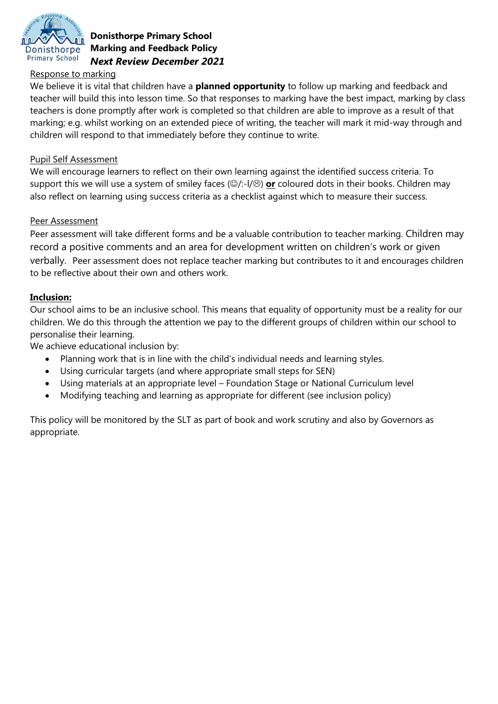

### **Donisthorpe Primary School Marking and Feedback Policy** *Next Review December 2021*

#### Response to marking

We believe it is vital that children have a **planned opportunity** to follow up marking and feedback and teacher will build this into lesson time. So that responses to marking have the best impact, marking by class teachers is done promptly after work is completed so that children are able to improve as a result of that marking; e.g. whilst working on an extended piece of writing, the teacher will mark it mid-way through and children will respond to that immediately before they continue to write.

### Pupil Self Assessment

We will encourage learners to reflect on their own learning against the identified success criteria. To support this we will use a system of smiley faces ( $\circ$ /:-l/ $\circ$ ) **or** coloured dots in their books. Children may also reflect on learning using success criteria as a checklist against which to measure their success.

### Peer Assessment

Peer assessment will take different forms and be a valuable contribution to teacher marking. Children may record a positive comments and an area for development written on children's work or given verbally. Peer assessment does not replace teacher marking but contributes to it and encourages children to be reflective about their own and others work.

# **Inclusion:**

Our school aims to be an inclusive school. This means that equality of opportunity must be a reality for our children. We do this through the attention we pay to the different groups of children within our school to personalise their learning.

We achieve educational inclusion by:

- Planning work that is in line with the child's individual needs and learning styles.
- Using curricular targets (and where appropriate small steps for SEN)
- Using materials at an appropriate level Foundation Stage or National Curriculum level
- Modifying teaching and learning as appropriate for different (see inclusion policy)

This policy will be monitored by the SLT as part of book and work scrutiny and also by Governors as appropriate.